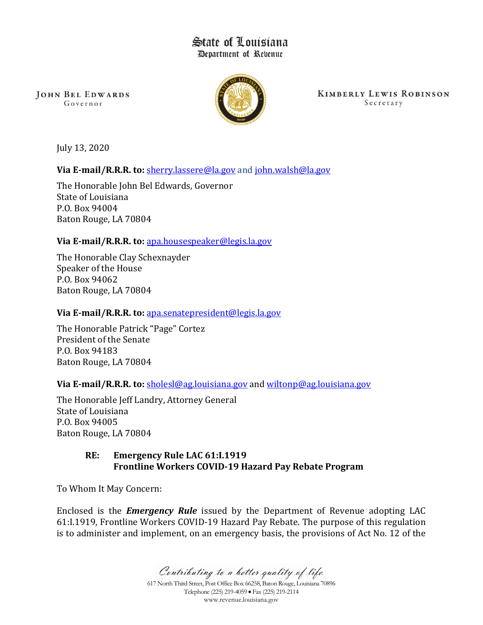# State of Louisiana Department of Rebenue

**JOHN BEL EDWARDS** Governor



**KIMBERLY LEWIS ROBINSON** Secretary

July 13, 2020

**Via E-mail/R.R.R. to: [sherry.lassere@la.gov](mailto:sherry.lassere@la.gov)** and [john.walsh@la.gov](mailto:matthew.block@la.gov)

The Honorable John Bel Edwards, Governor State of Louisiana P.O. Box 94004 Baton Rouge, LA 70804

# **Via E-mail/R.R.R. to:** [apa.housespeaker@legis.la.gov](mailto:apa.housespeaker@legis.la.gov)

The Honorable Clay Schexnayder Speaker of the House P.O. Box 94062 Baton Rouge, LA 70804

### **Via E-mail/R.R.R. to:** [apa.senatepresident@legis.la.gov](mailto:apa.senatepresident@legis.la.gov)

The Honorable Patrick "Page" Cortez President of the Senate P.O. Box 94183 Baton Rouge, LA 70804

# **Via E-mail/R.R.R. to:** [sholesl@ag.louisiana.gov](mailto:sholesl@ag.louisiana.gov) and [wiltonp@ag.louisiana.gov](mailto:wiltonp@ag.louisiana.gov)

The Honorable Jeff Landry, Attorney General State of Louisiana P.O. Box 94005 Baton Rouge, LA 70804

### **RE: Emergency Rule LAC 61:I.1919 Frontline Workers COVID-19 Hazard Pay Rebate Program**

To Whom It May Concern:

Enclosed is the *Emergency Rule* issued by the Department of Revenue adopting LAC 61:I.1919, Frontline Workers COVID-19 Hazard Pay Rebate. The purpose of this regulation is to administer and implement, on an emergency basis, the provisions of Act No. 12 of the

Contributing to a better quality of life.

617 North Third Street, Post Office Box 66258, Baton Rouge, Louisiana 70896 Telephone (225) 219-4059 • Fax (225) 219-2114 www.revenue.louisiana.gov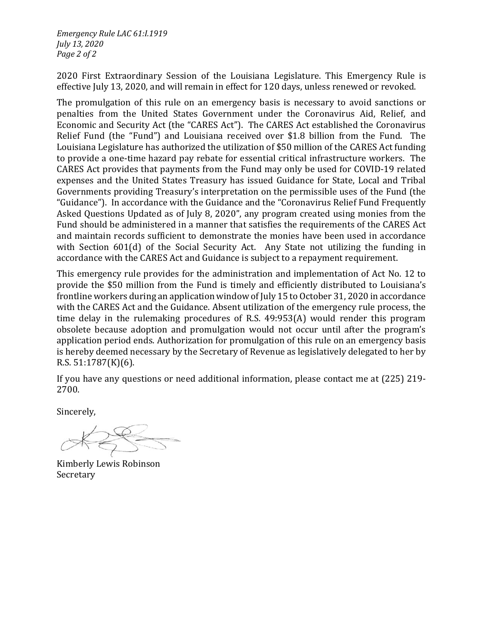*Emergency Rule LAC 61:I.1919 July 13, 2020 Page 2 of 2*

2020 First Extraordinary Session of the Louisiana Legislature. This Emergency Rule is effective July 13, 2020, and will remain in effect for 120 days, unless renewed or revoked.

The promulgation of this rule on an emergency basis is necessary to avoid sanctions or penalties from the United States Government under the Coronavirus Aid, Relief, and Economic and Security Act (the "CARES Act"). The CARES Act established the Coronavirus Relief Fund (the "Fund") and Louisiana received over \$1.8 billion from the Fund. The Louisiana Legislature has authorized the utilization of \$50 million of the CARES Act funding to provide a one-time hazard pay rebate for essential critical infrastructure workers. The CARES Act provides that payments from the Fund may only be used for COVID-19 related expenses and the United States Treasury has issued Guidance for State, Local and Tribal Governments providing Treasury's interpretation on the permissible uses of the Fund (the "Guidance"). In accordance with the Guidance and the "Coronavirus Relief Fund Frequently Asked Questions Updated as of July 8, 2020", any program created using monies from the Fund should be administered in a manner that satisfies the requirements of the CARES Act and maintain records sufficient to demonstrate the monies have been used in accordance with Section 601(d) of the Social Security Act. Any State not utilizing the funding in accordance with the CARES Act and Guidance is subject to a repayment requirement.

This emergency rule provides for the administration and implementation of Act No. 12 to provide the \$50 million from the Fund is timely and efficiently distributed to Louisiana's frontline workers during an application window of July 15 to October 31, 2020 in accordance with the CARES Act and the Guidance. Absent utilization of the emergency rule process, the time delay in the rulemaking procedures of R.S. 49:953(A) would render this program obsolete because adoption and promulgation would not occur until after the program's application period ends. Authorization for promulgation of this rule on an emergency basis is hereby deemed necessary by the Secretary of Revenue as legislatively delegated to her by R.S. 51:1787(K)(6).

If you have any questions or need additional information, please contact me at (225) 219- 2700.

Sincerely,

Kimberly Lewis Robinson Secretary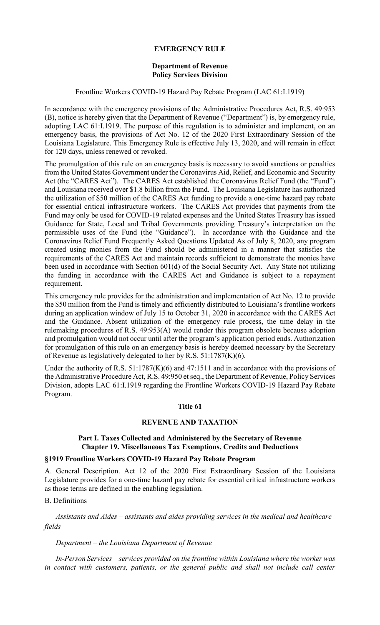### **EMERGENCY RULE**

#### **Department of Revenue Policy Services Division**

#### Frontline Workers COVID-19 Hazard Pay Rebate Program (LAC 61:I.1919)

In accordance with the emergency provisions of the Administrative Procedures Act, R.S. 49:953 (B), notice is hereby given that the Department of Revenue ("Department") is, by emergency rule, adopting LAC 61:I.1919. The purpose of this regulation is to administer and implement, on an emergency basis, the provisions of Act No. 12 of the 2020 First Extraordinary Session of the Louisiana Legislature. This Emergency Rule is effective July 13, 2020, and will remain in effect for 120 days, unless renewed or revoked.

The promulgation of this rule on an emergency basis is necessary to avoid sanctions or penalties from the United States Government under the Coronavirus Aid, Relief, and Economic and Security Act (the "CARES Act"). The CARES Act established the Coronavirus Relief Fund (the "Fund") and Louisiana received over \$1.8 billion from the Fund. The Louisiana Legislature has authorized the utilization of \$50 million of the CARES Act funding to provide a one-time hazard pay rebate for essential critical infrastructure workers. The CARES Act provides that payments from the Fund may only be used for COVID-19 related expenses and the United States Treasury has issued Guidance for State, Local and Tribal Governments providing Treasury's interpretation on the permissible uses of the Fund (the "Guidance"). In accordance with the Guidance and the Coronavirus Relief Fund Frequently Asked Questions Updated As of July 8, 2020, any program created using monies from the Fund should be administered in a manner that satisfies the requirements of the CARES Act and maintain records sufficient to demonstrate the monies have been used in accordance with Section 601(d) of the Social Security Act. Any State not utilizing the funding in accordance with the CARES Act and Guidance is subject to a repayment requirement.

This emergency rule provides for the administration and implementation of Act No. 12 to provide the \$50 million from the Fund is timely and efficiently distributed to Louisiana's frontline workers during an application window of July 15 to October 31, 2020 in accordance with the CARES Act and the Guidance. Absent utilization of the emergency rule process, the time delay in the rulemaking procedures of R.S. 49:953(A) would render this program obsolete because adoption and promulgation would not occur until after the program's application period ends. Authorization for promulgation of this rule on an emergency basis is hereby deemed necessary by the Secretary of Revenue as legislatively delegated to her by R.S. 51:1787(K)(6).

Under the authority of R.S. 51:1787(K)(6) and 47:1511 and in accordance with the provisions of the Administrative Procedure Act, R.S. 49:950 et seq., the Department of Revenue, Policy Services Division, adopts LAC 61:I.1919 regarding the Frontline Workers COVID-19 Hazard Pay Rebate Program.

#### **Title 61**

# **REVENUE AND TAXATION**

### **Part I. Taxes Collected and Administered by the Secretary of Revenue Chapter 19. Miscellaneous Tax Exemptions, Credits and Deductions**

#### **§1919 Frontline Workers COVID-19 Hazard Pay Rebate Program**

A. General Description. Act 12 of the 2020 First Extraordinary Session of the Louisiana Legislature provides for a one-time hazard pay rebate for essential critical infrastructure workers as those terms are defined in the enabling legislation.

# B. Definitions

*Assistants and Aides – assistants and aides providing services in the medical and healthcare fields*

#### *Department – the Louisiana Department of Revenue*

*In-Person Services – services provided on the frontline within Louisiana where the worker was*  in contact with customers, patients, or the general public and shall not include call center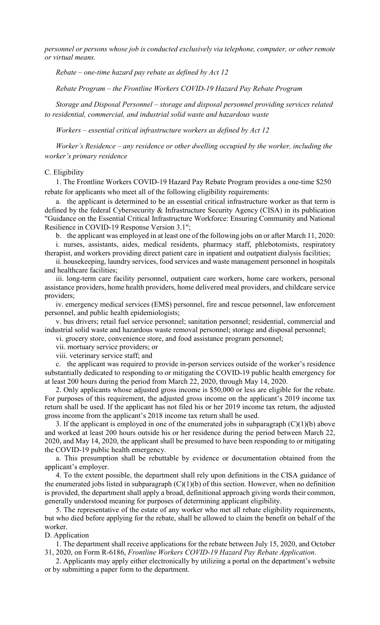*personnel or persons whose job is conducted exclusively via telephone, computer, or other remote or virtual means.*

 *Rebate – one-time hazard pay rebate as defined by Act 12* 

 *Rebate Program – the Frontline Workers COVID-19 Hazard Pay Rebate Program* 

 *Storage and Disposal Personnel – storage and disposal personnel providing services related to residential, commercial, and industrial solid waste and hazardous waste* 

 *Workers – essential critical infrastructure workers as defined by Act 12* 

*Worker's Residence – any residence or other dwelling occupied by the worker, including the worker's primary residence*

#### C. Eligibility

1. The Frontline Workers COVID-19 Hazard Pay Rebate Program provides a one-time \$250 rebate for applicants who meet all of the following eligibility requirements:

a. the applicant is determined to be an essential critical infrastructure worker as that term is defined by the federal Cybersecurity & Infrastructure Security Agency (CISA) in its publication "Guidance on the Essential Critical Infrastructure Workforce: Ensuring Community and National Resilience in COVID-19 Response Version 3.1";

b. the applicant was employed in at least one of the following jobs on or after March 11, 2020: i. nurses, assistants, aides, medical residents, pharmacy staff, phlebotomists, respiratory therapist, and workers providing direct patient care in inpatient and outpatient dialysis facilities;

ii. housekeeping, laundry services, food services and waste management personnel in hospitals and healthcare facilities;

iii. long-term care facility personnel, outpatient care workers, home care workers, personal assistance providers, home health providers, home delivered meal providers, and childcare service providers;

iv. emergency medical services (EMS) personnel, fire and rescue personnel, law enforcement personnel, and public health epidemiologists;

v. bus drivers; retail fuel service personnel; sanitation personnel; residential, commercial and industrial solid waste and hazardous waste removal personnel; storage and disposal personnel;

vi. grocery store, convenience store, and food assistance program personnel;

vii. mortuary service providers; or

viii. veterinary service staff; and

c. the applicant was required to provide in-person services outside of the worker's residence substantially dedicated to responding to or mitigating the COVID-19 public health emergency for at least 200 hours during the period from March 22, 2020, through May 14, 2020.

2. Only applicants whose adjusted gross income is \$50,000 or less are eligible for the rebate. For purposes of this requirement, the adjusted gross income on the applicant's 2019 income tax return shall be used. If the applicant has not filed his or her 2019 income tax return, the adjusted gross income from the applicant's 2018 income tax return shall be used.

3. If the applicant is employed in one of the enumerated jobs in subparagraph  $(C)(1)(b)$  above and worked at least 200 hours outside his or her residence during the period between March 22, 2020, and May 14, 2020, the applicant shall be presumed to have been responding to or mitigating the COVID-19 public health emergency.

a. This presumption shall be rebuttable by evidence or documentation obtained from the applicant's employer.

4. To the extent possible, the department shall rely upon definitions in the CISA guidance of the enumerated jobs listed in subparagraph  $(C)(1)(b)$  of this section. However, when no definition is provided, the department shall apply a broad, definitional approach giving words their common, generally understood meaning for purposes of determining applicant eligibility.

5. The representative of the estate of any worker who met all rebate eligibility requirements, but who died before applying for the rebate, shall be allowed to claim the benefit on behalf of the worker.

### D. Application

1. The department shall receive applications for the rebate between July 15, 2020, and October 31, 2020, on Form R-6186, *Frontline Workers COVID-19 Hazard Pay Rebate Application*.

2. Applicants may apply either electronically by utilizing a portal on the department's website or by submitting a paper form to the department.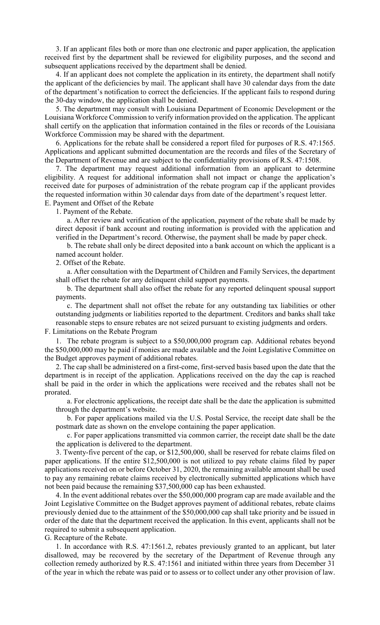3. If an applicant files both or more than one electronic and paper application, the application received first by the department shall be reviewed for eligibility purposes, and the second and subsequent applications received by the department shall be denied.

4. If an applicant does not complete the application in its entirety, the department shall notify the applicant of the deficiencies by mail. The applicant shall have 30 calendar days from the date of the department's notification to correct the deficiencies. If the applicant fails to respond during the 30-day window, the application shall be denied.

5. The department may consult with Louisiana Department of Economic Development or the Louisiana Workforce Commission to verify information provided on the application. The applicant shall certify on the application that information contained in the files or records of the Louisiana Workforce Commission may be shared with the department.

6. Applications for the rebate shall be considered a report filed for purposes of R.S. 47:1565. Applications and applicant submitted documentation are the records and files of the Secretary of the Department of Revenue and are subject to the confidentiality provisions of R.S. 47:1508.

7. The department may request additional information from an applicant to determine eligibility. A request for additional information shall not impact or change the application's received date for purposes of administration of the rebate program cap if the applicant provides the requested information within 30 calendar days from date of the department's request letter. E. Payment and Offset of the Rebate

1. Payment of the Rebate.

a. After review and verification of the application, payment of the rebate shall be made by direct deposit if bank account and routing information is provided with the application and verified in the Department's record. Otherwise, the payment shall be made by paper check.

b. The rebate shall only be direct deposited into a bank account on which the applicant is a named account holder.

2. Offset of the Rebate.

a. After consultation with the Department of Children and Family Services, the department shall offset the rebate for any delinquent child support payments.

b. The department shall also offset the rebate for any reported delinquent spousal support payments.

c. The department shall not offset the rebate for any outstanding tax liabilities or other outstanding judgments or liabilities reported to the department. Creditors and banks shall take reasonable steps to ensure rebates are not seized pursuant to existing judgments and orders.

F. Limitations on the Rebate Program

1. The rebate program is subject to a \$50,000,000 program cap. Additional rebates beyond the \$50,000,000 may be paid if monies are made available and the Joint Legislative Committee on the Budget approves payment of additional rebates.

2. The cap shall be administered on a first-come, first-served basis based upon the date that the department is in receipt of the application. Applications received on the day the cap is reached shall be paid in the order in which the applications were received and the rebates shall not be prorated.

a. For electronic applications, the receipt date shall be the date the application is submitted through the department's website.

b. For paper applications mailed via the U.S. Postal Service, the receipt date shall be the postmark date as shown on the envelope containing the paper application.

c. For paper applications transmitted via common carrier, the receipt date shall be the date the application is delivered to the department.

3. Twenty-five percent of the cap, or \$12,500,000, shall be reserved for rebate claims filed on paper applications. If the entire \$12,500,000 is not utilized to pay rebate claims filed by paper applications received on or before October 31, 2020, the remaining available amount shall be used to pay any remaining rebate claims received by electronically submitted applications which have not been paid because the remaining \$37,500,000 cap has been exhausted.

4. In the event additional rebates over the \$50,000,000 program cap are made available and the Joint Legislative Committee on the Budget approves payment of additional rebates, rebate claims previously denied due to the attainment of the \$50,000,000 cap shall take priority and be issued in order of the date that the department received the application. In this event, applicants shall not be required to submit a subsequent application.

G. Recapture of the Rebate.

1. In accordance with R.S. 47:1561.2, rebates previously granted to an applicant, but later disallowed, may be recovered by the secretary of the Department of Revenue through any collection remedy authorized by R.S. 47:1561 and initiated within three years from December 31 of the year in which the rebate was paid or to assess or to collect under any other provision of law.